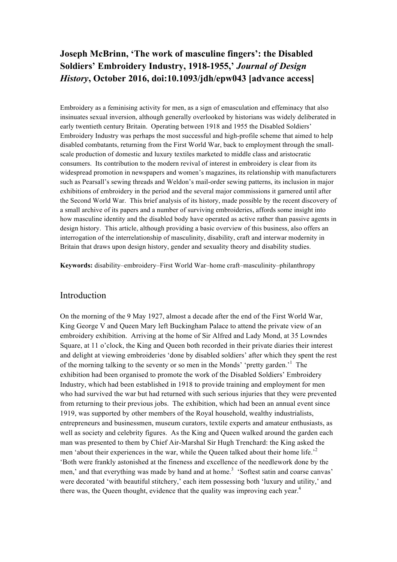# **Joseph McBrinn, 'The work of masculine fingers': the Disabled Soldiers' Embroidery Industry, 1918-1955,'** *Journal of Design History***, October 2016, doi:10.1093/jdh/epw043 [advance access]**

Embroidery as a feminising activity for men, as a sign of emasculation and effeminacy that also insinuates sexual inversion, although generally overlooked by historians was widely deliberated in early twentieth century Britain. Operating between 1918 and 1955 the Disabled Soldiers' Embroidery Industry was perhaps the most successful and high-profile scheme that aimed to help disabled combatants, returning from the First World War, back to employment through the smallscale production of domestic and luxury textiles marketed to middle class and aristocratic consumers. Its contribution to the modern revival of interest in embroidery is clear from its widespread promotion in newspapers and women's magazines, its relationship with manufacturers such as Pearsall's sewing threads and Weldon's mail-order sewing patterns, its inclusion in major exhibitions of embroidery in the period and the several major commissions it garnered until after the Second World War. This brief analysis of its history, made possible by the recent discovery of a small archive of its papers and a number of surviving embroideries, affords some insight into how masculine identity and the disabled body have operated as active rather than passive agents in design history. This article, although providing a basic overview of this business, also offers an interrogation of the interrelationship of masculinity, disability, craft and interwar modernity in Britain that draws upon design history, gender and sexuality theory and disability studies.

**Keywords:** disability–embroidery–First World War–home craft–masculinity–philanthropy

#### Introduction

On the morning of the 9 May 1927, almost a decade after the end of the First World War, King George V and Queen Mary left Buckingham Palace to attend the private view of an embroidery exhibition. Arriving at the home of Sir Alfred and Lady Mond, at 35 Lowndes Square, at 11 o'clock, the King and Queen both recorded in their private diaries their interest and delight at viewing embroideries 'done by disabled soldiers' after which they spent the rest of the morning talking to the seventy or so men in the Monds' 'pretty garden.'<sup>1</sup> The exhibition had been organised to promote the work of the Disabled Soldiers' Embroidery Industry, which had been established in 1918 to provide training and employment for men who had survived the war but had returned with such serious injuries that they were prevented from returning to their previous jobs. The exhibition, which had been an annual event since 1919, was supported by other members of the Royal household, wealthy industrialists, entrepreneurs and businessmen, museum curators, textile experts and amateur enthusiasts, as well as society and celebrity figures. As the King and Queen walked around the garden each man was presented to them by Chief Air-Marshal Sir Hugh Trenchard: the King asked the men 'about their experiences in the war, while the Queen talked about their home life.<sup>22</sup> 'Both were frankly astonished at the fineness and excellence of the needlework done by the men,' and that everything was made by hand and at home.<sup>3</sup> 'Softest satin and coarse canvas' were decorated 'with beautiful stitchery,' each item possessing both 'luxury and utility,' and there was, the Queen thought, evidence that the quality was improving each year. $4$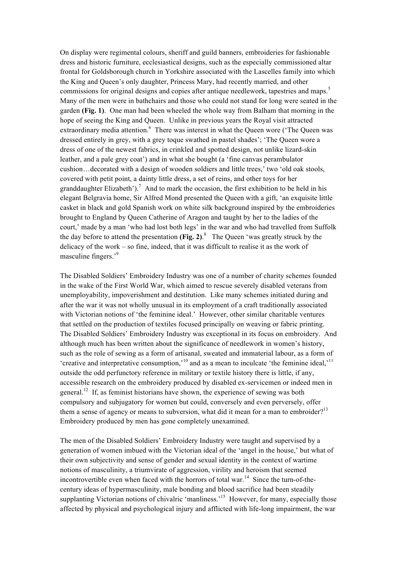On display were regimental colours, sheriff and guild banners, embroideries for fashionable dress and historic furniture, ecclesiastical designs, such as the especially commissioned altar frontal for Goldsborough church in Yorkshire associated with the Lascelles family into which the King and Queen's only daughter, Princess Mary, had recently married, and other commissions for original designs and copies after antique needlework, tapestries and maps.<sup>5</sup> Many of the men were in bathchairs and those who could not stand for long were seated in the garden **(Fig. 1)**. One man had been wheeled the whole way from Balham that morning in the hope of seeing the King and Queen. Unlike in previous years the Royal visit attracted extraordinary media attention.<sup>6</sup> There was interest in what the Queen wore ('The Queen was dressed entirely in grey, with a grey toque swathed in pastel shades'; 'The Queen wore a dress of one of the newest fabrics, in crinkled and spotted design, not unlike lizard-skin leather, and a pale grey coat') and in what she bought (a 'fine canvas perambulator cushion…decorated with a design of wooden soldiers and little trees,' two 'old oak stools, covered with petit point, a dainty little dress, a set of reins, and other toys for her granddaughter Elizabeth').<sup>7</sup> And to mark the occasion, the first exhibition to be held in his elegant Belgravia home, Sir Alfred Mond presented the Queen with a gift, 'an exquisite little casket in black and gold Spanish work on white silk background inspired by the embroideries brought to England by Queen Catherine of Aragon and taught by her to the ladies of the court,' made by a man 'who had lost both legs' in the war and who had travelled from Suffolk the day before to attend the presentation **(Fig. 2)**. 8 The Queen 'was greatly struck by the delicacy of the work – so fine, indeed, that it was difficult to realise it as the work of masculine fingers.'<sup>9</sup>

The Disabled Soldiers' Embroidery Industry was one of a number of charity schemes founded in the wake of the First World War, which aimed to rescue severely disabled veterans from unemployability, impoverishment and destitution. Like many schemes initiated during and after the war it was not wholly unusual in its employment of a craft traditionally associated with Victorian notions of 'the feminine ideal.' However, other similar charitable ventures that settled on the production of textiles focused principally on weaving or fabric printing. The Disabled Soldiers' Embroidery Industry was exceptional in its focus on embroidery. And although much has been written about the significance of needlework in women's history, such as the role of sewing as a form of artisanal, sweated and immaterial labour, as a form of 'creative and interpretative consumption.<sup>10</sup> and as a mean to inculcate 'the feminine ideal.<sup>11</sup> outside the odd perfunctory reference in military or textile history there is little, if any, accessible research on the embroidery produced by disabled ex-servicemen or indeed men in general.<sup>12</sup> If, as feminist historians have shown, the experience of sewing was both compulsory and subjugatory for women but could, conversely and even perversely, offer them a sense of agency or means to subversion, what did it mean for a man to embroider?<sup>13</sup> Embroidery produced by men has gone completely unexamined.

The men of the Disabled Soldiers' Embroidery Industry were taught and supervised by a generation of women imbued with the Victorian ideal of the 'angel in the house,' but what of their own subjectivity and sense of gender and sexual identity in the context of wartime notions of masculinity, a triumvirate of aggression, virility and heroism that seemed incontrovertible even when faced with the horrors of total war.<sup>14</sup> Since the turn-of-thecentury ideas of hypermasculinity, male bonding and blood sacrifice had been steadily supplanting Victorian notions of chivalric 'manliness.<sup>15</sup> However, for many, especially those affected by physical and psychological injury and afflicted with life-long impairment, the war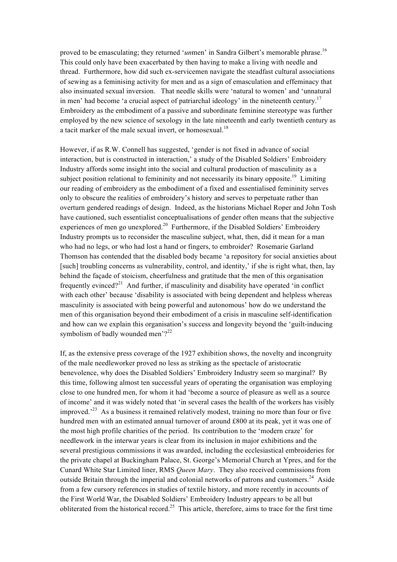proved to be emasculating; they returned '*un*men' in Sandra Gilbert's memorable phrase.<sup>16</sup> This could only have been exacerbated by then having to make a living with needle and thread. Furthermore, how did such ex-servicemen navigate the steadfast cultural associations of sewing as a feminising activity for men and as a sign of emasculation and effeminacy that also insinuated sexual inversion. That needle skills were 'natural to women' and 'unnatural in men' had become 'a crucial aspect of patriarchal ideology' in the nineteenth century.<sup>17</sup> Embroidery as the embodiment of a passive and subordinate feminine stereotype was further employed by the new science of sexology in the late nineteenth and early twentieth century as a tacit marker of the male sexual invert, or homosexual.<sup>18</sup>

However, if as R.W. Connell has suggested, 'gender is not fixed in advance of social interaction, but is constructed in interaction,' a study of the Disabled Soldiers' Embroidery Industry affords some insight into the social and cultural production of masculinity as a subject position relational to femininity and not necessarily its binary opposite.<sup>19</sup> Limiting our reading of embroidery as the embodiment of a fixed and essentialised femininity serves only to obscure the realities of embroidery's history and serves to perpetuate rather than overturn gendered readings of design. Indeed, as the historians Michael Roper and John Tosh have cautioned, such essentialist conceptualisations of gender often means that the subjective experiences of men go unexplored.<sup>20</sup> Furthermore, if the Disabled Soldiers' Embroidery Industry prompts us to reconsider the masculine subject, what, then, did it mean for a man who had no legs, or who had lost a hand or fingers, to embroider? Rosemarie Garland Thomson has contended that the disabled body became 'a repository for social anxieties about [such] troubling concerns as vulnerability, control, and identity,' if she is right what, then, lay behind the façade of stoicism, cheerfulness and gratitude that the men of this organisation frequently evinced?<sup>21</sup> And further, if masculinity and disability have operated 'in conflict with each other' because 'disability is associated with being dependent and helpless whereas masculinity is associated with being powerful and autonomous' how do we understand the men of this organisation beyond their embodiment of a crisis in masculine self-identification and how can we explain this organisation's success and longevity beyond the 'guilt-inducing symbolism of badly wounded men'? $2^{22}$ 

If, as the extensive press coverage of the 1927 exhibition shows, the novelty and incongruity of the male needleworker proved no less as striking as the spectacle of aristocratic benevolence, why does the Disabled Soldiers' Embroidery Industry seem so marginal? By this time, following almost ten successful years of operating the organisation was employing close to one hundred men, for whom it had 'become a source of pleasure as well as a source of income' and it was widely noted that 'in several cases the health of the workers has visibly improved.<sup> $23$ </sup> As a business it remained relatively modest, training no more than four or five hundred men with an estimated annual turnover of around £800 at its peak, yet it was one of the most high profile charities of the period. Its contribution to the 'modern craze' for needlework in the interwar years is clear from its inclusion in major exhibitions and the several prestigious commissions it was awarded, including the ecclesiastical embroideries for the private chapel at Buckingham Palace, St. George's Memorial Church at Ypres, and for the Cunard White Star Limited liner, RMS *Queen Mary*. They also received commissions from outside Britain through the imperial and colonial networks of patrons and customers.<sup>24</sup> Aside from a few cursory references in studies of textile history, and more recently in accounts of the First World War, the Disabled Soldiers' Embroidery Industry appears to be all but obliterated from the historical record.<sup>25</sup> This article, therefore, aims to trace for the first time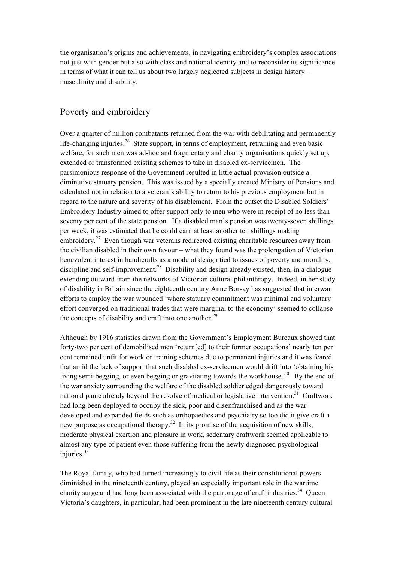the organisation's origins and achievements, in navigating embroidery's complex associations not just with gender but also with class and national identity and to reconsider its significance in terms of what it can tell us about two largely neglected subjects in design history – masculinity and disability.

# Poverty and embroidery

Over a quarter of million combatants returned from the war with debilitating and permanently life-changing injuries.<sup>26</sup> State support, in terms of employment, retraining and even basic welfare, for such men was ad-hoc and fragmentary and charity organisations quickly set up, extended or transformed existing schemes to take in disabled ex-servicemen. The parsimonious response of the Government resulted in little actual provision outside a diminutive statuary pension. This was issued by a specially created Ministry of Pensions and calculated not in relation to a veteran's ability to return to his previous employment but in regard to the nature and severity of his disablement. From the outset the Disabled Soldiers' Embroidery Industry aimed to offer support only to men who were in receipt of no less than seventy per cent of the state pension. If a disabled man's pension was twenty-seven shillings per week, it was estimated that he could earn at least another ten shillings making embroidery.<sup>27</sup> Even though war veterans redirected existing charitable resources away from the civilian disabled in their own favour – what they found was the prolongation of Victorian benevolent interest in handicrafts as a mode of design tied to issues of poverty and morality, discipline and self-improvement.<sup>28</sup> Disability and design already existed, then, in a dialogue extending outward from the networks of Victorian cultural philanthropy. Indeed, in her study of disability in Britain since the eighteenth century Anne Borsay has suggested that interwar efforts to employ the war wounded 'where statuary commitment was minimal and voluntary effort converged on traditional trades that were marginal to the economy' seemed to collapse the concepts of disability and craft into one another.<sup>29</sup>

Although by 1916 statistics drawn from the Government's Employment Bureaux showed that forty-two per cent of demobilised men 'return[ed] to their former occupations' nearly ten per cent remained unfit for work or training schemes due to permanent injuries and it was feared that amid the lack of support that such disabled ex-servicemen would drift into 'obtaining his living semi-begging, or even begging or gravitating towards the workhouse.<sup>30</sup> By the end of the war anxiety surrounding the welfare of the disabled soldier edged dangerously toward national panic already beyond the resolve of medical or legislative intervention.<sup>31</sup> Craftwork had long been deployed to occupy the sick, poor and disenfranchised and as the war developed and expanded fields such as orthopaedics and psychiatry so too did it give craft a new purpose as occupational therapy.<sup>32</sup> In its promise of the acquisition of new skills, moderate physical exertion and pleasure in work, sedentary craftwork seemed applicable to almost any type of patient even those suffering from the newly diagnosed psychological injuries.<sup>33</sup>

The Royal family, who had turned increasingly to civil life as their constitutional powers diminished in the nineteenth century, played an especially important role in the wartime charity surge and had long been associated with the patronage of craft industries.<sup>34</sup> Queen Victoria's daughters, in particular, had been prominent in the late nineteenth century cultural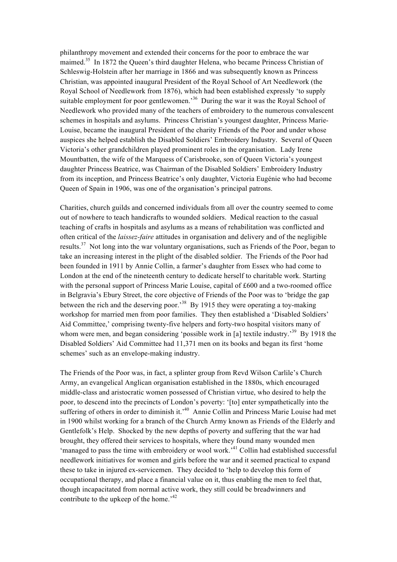philanthropy movement and extended their concerns for the poor to embrace the war maimed.<sup>35</sup> In 1872 the Queen's third daughter Helena, who became Princess Christian of Schleswig-Holstein after her marriage in 1866 and was subsequently known as Princess Christian, was appointed inaugural President of the Royal School of Art Needlework (the Royal School of Needlework from 1876), which had been established expressly 'to supply suitable employment for poor gentlewomen.<sup>36</sup> During the war it was the Royal School of Needlework who provided many of the teachers of embroidery to the numerous convalescent schemes in hospitals and asylums. Princess Christian's youngest daughter, Princess Marie-Louise, became the inaugural President of the charity Friends of the Poor and under whose auspices she helped establish the Disabled Soldiers' Embroidery Industry. Several of Queen Victoria's other grandchildren played prominent roles in the organisation. Lady Irene Mountbatten, the wife of the Marquess of Carisbrooke, son of Queen Victoria's youngest daughter Princess Beatrice, was Chairman of the Disabled Soldiers' Embroidery Industry from its inception, and Princess Beatrice's only daughter, Victoria Eugénie who had become Queen of Spain in 1906, was one of the organisation's principal patrons.

Charities, church guilds and concerned individuals from all over the country seemed to come out of nowhere to teach handicrafts to wounded soldiers. Medical reaction to the casual teaching of crafts in hospitals and asylums as a means of rehabilitation was conflicted and often critical of the *laissez-faire* attitudes in organisation and delivery and of the negligible results.37 Not long into the war voluntary organisations, such as Friends of the Poor, began to take an increasing interest in the plight of the disabled soldier. The Friends of the Poor had been founded in 1911 by Annie Collin, a farmer's daughter from Essex who had come to London at the end of the nineteenth century to dedicate herself to charitable work. Starting with the personal support of Princess Marie Louise, capital of £600 and a two-roomed office in Belgravia's Ebury Street, the core objective of Friends of the Poor was to 'bridge the gap between the rich and the deserving poor.<sup>38</sup> By 1915 they were operating a toy-making workshop for married men from poor families. They then established a 'Disabled Soldiers' Aid Committee,' comprising twenty-five helpers and forty-two hospital visitors many of whom were men, and began considering 'possible work in [a] textile industry.<sup>39</sup> By 1918 the Disabled Soldiers' Aid Committee had 11,371 men on its books and began its first 'home schemes' such as an envelope-making industry.

The Friends of the Poor was, in fact, a splinter group from Revd Wilson Carlile's Church Army, an evangelical Anglican organisation established in the 1880s, which encouraged middle-class and aristocratic women possessed of Christian virtue, who desired to help the poor, to descend into the precincts of London's poverty: '[to] enter sympathetically into the suffering of others in order to diminish it.<sup>40</sup> Annie Collin and Princess Marie Louise had met in 1900 whilst working for a branch of the Church Army known as Friends of the Elderly and Gentlefolk's Help. Shocked by the new depths of poverty and suffering that the war had brought, they offered their services to hospitals, where they found many wounded men 'managed to pass the time with embroidery or wool work.<sup>41</sup> Collin had established successful needlework initiatives for women and girls before the war and it seemed practical to expand these to take in injured ex-servicemen. They decided to 'help to develop this form of occupational therapy, and place a financial value on it, thus enabling the men to feel that, though incapacitated from normal active work, they still could be breadwinners and contribute to the upkeep of the home.<sup>42</sup>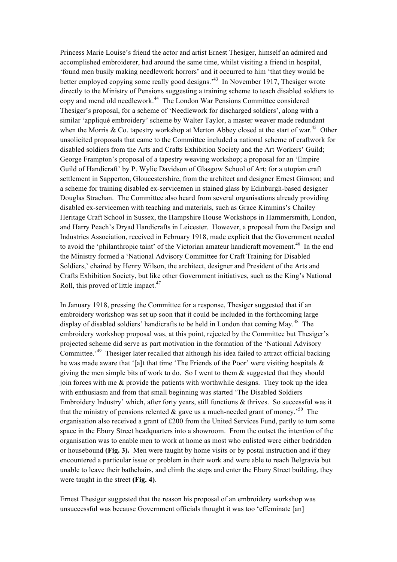Princess Marie Louise's friend the actor and artist Ernest Thesiger, himself an admired and accomplished embroiderer, had around the same time, whilst visiting a friend in hospital, 'found men busily making needlework horrors' and it occurred to him 'that they would be better employed copying some really good designs.'43 In November 1917, Thesiger wrote directly to the Ministry of Pensions suggesting a training scheme to teach disabled soldiers to copy and mend old needlework.44 The London War Pensions Committee considered Thesiger's proposal, for a scheme of 'Needlework for discharged soldiers', along with a similar 'appliqué embroidery' scheme by Walter Taylor, a master weaver made redundant when the Morris  $& Co.$  tapestry workshop at Merton Abbey closed at the start of war.<sup>45</sup> Other unsolicited proposals that came to the Committee included a national scheme of craftwork for disabled soldiers from the Arts and Crafts Exhibition Society and the Art Workers' Guild; George Frampton's proposal of a tapestry weaving workshop; a proposal for an 'Empire Guild of Handicraft' by P. Wylie Davidson of Glasgow School of Art; for a utopian craft settlement in Sapperton, Gloucestershire, from the architect and designer Ernest Gimson; and a scheme for training disabled ex-servicemen in stained glass by Edinburgh-based designer Douglas Strachan. The Committee also heard from several organisations already providing disabled ex-servicemen with teaching and materials, such as Grace Kimmins's Chailey Heritage Craft School in Sussex, the Hampshire House Workshops in Hammersmith, London, and Harry Peach's Dryad Handicrafts in Leicester. However, a proposal from the Design and Industries Association, received in February 1918, made explicit that the Government needed to avoid the 'philanthropic taint' of the Victorian amateur handicraft movement.<sup>46</sup> In the end the Ministry formed a 'National Advisory Committee for Craft Training for Disabled Soldiers,' chaired by Henry Wilson, the architect, designer and President of the Arts and Crafts Exhibition Society, but like other Government initiatives, such as the King's National Roll, this proved of little impact.<sup>47</sup>

In January 1918, pressing the Committee for a response, Thesiger suggested that if an embroidery workshop was set up soon that it could be included in the forthcoming large display of disabled soldiers' handicrafts to be held in London that coming May.<sup>48</sup> The embroidery workshop proposal was, at this point, rejected by the Committee but Thesiger's projected scheme did serve as part motivation in the formation of the 'National Advisory Committee.<sup>49</sup> Thesiger later recalled that although his idea failed to attract official backing he was made aware that '[a]t that time 'The Friends of the Poor' were visiting hospitals  $\&$ giving the men simple bits of work to do. So I went to them & suggested that they should join forces with me & provide the patients with worthwhile designs. They took up the idea with enthusiasm and from that small beginning was started 'The Disabled Soldiers Embroidery Industry' which, after forty years, still functions & thrives. So successful was it that the ministry of pensions relented  $\&$  gave us a much-needed grant of money.<sup>50</sup> The organisation also received a grant of £200 from the United Services Fund, partly to turn some space in the Ebury Street headquarters into a showroom. From the outset the intention of the organisation was to enable men to work at home as most who enlisted were either bedridden or housebound **(Fig. 3).** Men were taught by home visits or by postal instruction and if they encountered a particular issue or problem in their work and were able to reach Belgravia but unable to leave their bathchairs, and climb the steps and enter the Ebury Street building, they were taught in the street **(Fig. 4)**.

Ernest Thesiger suggested that the reason his proposal of an embroidery workshop was unsuccessful was because Government officials thought it was too 'effeminate [an]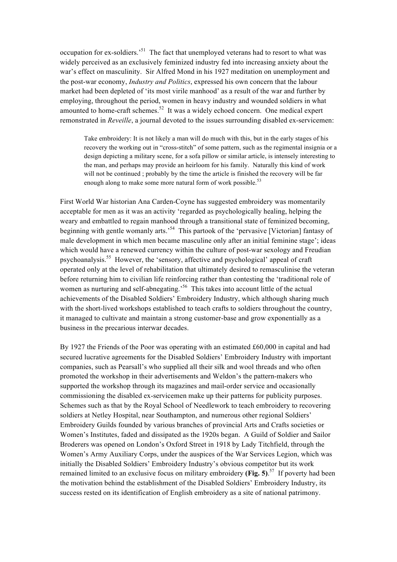occupation for ex-soldiers.'51 The fact that unemployed veterans had to resort to what was widely perceived as an exclusively feminized industry fed into increasing anxiety about the war's effect on masculinity. Sir Alfred Mond in his 1927 meditation on unemployment and the post-war economy, *Industry and Politics*, expressed his own concern that the labour market had been depleted of 'its most virile manhood' as a result of the war and further by employing, throughout the period, women in heavy industry and wounded soldiers in what amounted to home-craft schemes.<sup>52</sup> It was a widely echoed concern. One medical expert remonstrated in *Reveille*, a journal devoted to the issues surrounding disabled ex-servicemen:

Take embroidery: It is not likely a man will do much with this, but in the early stages of his recovery the working out in "cross-stitch" of some pattern, such as the regimental insignia or a design depicting a military scene, for a sofa pillow or similar article, is intensely interesting to the man, and perhaps may provide an heirloom for his family. Naturally this kind of work will not be continued ; probably by the time the article is finished the recovery will be far enough along to make some more natural form of work possible.<sup>53</sup>

First World War historian Ana Carden-Coyne has suggested embroidery was momentarily acceptable for men as it was an activity 'regarded as psychologically healing, helping the weary and embattled to regain manhood through a transitional state of feminized becoming, beginning with gentle womanly arts.<sup>54</sup> This partook of the 'pervasive [Victorian] fantasy of male development in which men became masculine only after an initial feminine stage'; ideas which would have a renewed currency within the culture of post-war sexology and Freudian psychoanalysis. 55 However, the 'sensory, affective and psychological' appeal of craft operated only at the level of rehabilitation that ultimately desired to remasculinise the veteran before returning him to civilian life reinforcing rather than contesting the 'traditional role of women as nurturing and self-abnegating.<sup>56</sup> This takes into account little of the actual achievements of the Disabled Soldiers' Embroidery Industry, which although sharing much with the short-lived workshops established to teach crafts to soldiers throughout the country, it managed to cultivate and maintain a strong customer-base and grow exponentially as a business in the precarious interwar decades.

By 1927 the Friends of the Poor was operating with an estimated £60,000 in capital and had secured lucrative agreements for the Disabled Soldiers' Embroidery Industry with important companies, such as Pearsall's who supplied all their silk and wool threads and who often promoted the workshop in their advertisements and Weldon's the pattern-makers who supported the workshop through its magazines and mail-order service and occasionally commissioning the disabled ex-servicemen make up their patterns for publicity purposes. Schemes such as that by the Royal School of Needlework to teach embroidery to recovering soldiers at Netley Hospital, near Southampton, and numerous other regional Soldiers' Embroidery Guilds founded by various branches of provincial Arts and Crafts societies or Women's Institutes, faded and dissipated as the 1920s began. A Guild of Soldier and Sailor Broderers was opened on London's Oxford Street in 1918 by Lady Titchfield, through the Women's Army Auxiliary Corps, under the auspices of the War Services Legion, which was initially the Disabled Soldiers' Embroidery Industry's obvious competitor but its work remained limited to an exclusive focus on military embroidery **(Fig. 5)**. 57 If poverty had been the motivation behind the establishment of the Disabled Soldiers' Embroidery Industry, its success rested on its identification of English embroidery as a site of national patrimony.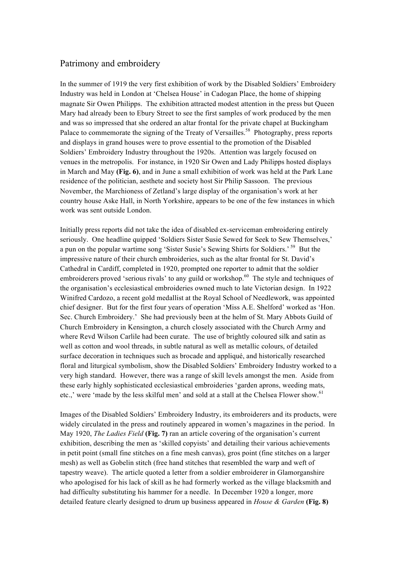# Patrimony and embroidery

In the summer of 1919 the very first exhibition of work by the Disabled Soldiers' Embroidery Industry was held in London at 'Chelsea House' in Cadogan Place, the home of shipping magnate Sir Owen Philipps. The exhibition attracted modest attention in the press but Queen Mary had already been to Ebury Street to see the first samples of work produced by the men and was so impressed that she ordered an altar frontal for the private chapel at Buckingham Palace to commemorate the signing of the Treaty of Versailles.<sup>58</sup> Photography, press reports and displays in grand houses were to prove essential to the promotion of the Disabled Soldiers' Embroidery Industry throughout the 1920s. Attention was largely focused on venues in the metropolis. For instance, in 1920 Sir Owen and Lady Philipps hosted displays in March and May **(Fig. 6)**, and in June a small exhibition of work was held at the Park Lane residence of the politician, aesthete and society host Sir Philip Sassoon. The previous November, the Marchioness of Zetland's large display of the organisation's work at her country house Aske Hall, in North Yorkshire, appears to be one of the few instances in which work was sent outside London.

Initially press reports did not take the idea of disabled ex-serviceman embroidering entirely seriously. One headline quipped 'Soldiers Sister Susie Sewed for Seek to Sew Themselves,' a pun on the popular wartime song 'Sister Susie's Sewing Shirts for Soldiers.' 59 But the impressive nature of their church embroideries, such as the altar frontal for St. David's Cathedral in Cardiff, completed in 1920, prompted one reporter to admit that the soldier embroiderers proved 'serious rivals' to any guild or workshop.<sup>60</sup> The style and techniques of the organisation's ecclesiastical embroideries owned much to late Victorian design. In 1922 Winifred Cardozo, a recent gold medallist at the Royal School of Needlework, was appointed chief designer. But for the first four years of operation 'Miss A.E. Shelford' worked as 'Hon. Sec. Church Embroidery.' She had previously been at the helm of St. Mary Abbots Guild of Church Embroidery in Kensington, a church closely associated with the Church Army and where Revd Wilson Carlile had been curate. The use of brightly coloured silk and satin as well as cotton and wool threads, in subtle natural as well as metallic colours, of detailed surface decoration in techniques such as brocade and appliqué, and historically researched floral and liturgical symbolism, show the Disabled Soldiers' Embroidery Industry worked to a very high standard. However, there was a range of skill levels amongst the men. Aside from these early highly sophisticated ecclesiastical embroideries 'garden aprons, weeding mats, etc.,' were 'made by the less skilful men' and sold at a stall at the Chelsea Flower show.<sup>61</sup>

Images of the Disabled Soldiers' Embroidery Industry, its embroiderers and its products, were widely circulated in the press and routinely appeared in women's magazines in the period. In May 1920, *The Ladies Field* **(Fig. 7)** ran an article covering of the organisation's current exhibition, describing the men as 'skilled copyists' and detailing their various achievements in petit point (small fine stitches on a fine mesh canvas), gros point (fine stitches on a larger mesh) as well as Gobelin stitch (free hand stitches that resembled the warp and weft of tapestry weave). The article quoted a letter from a soldier embroiderer in Glamorganshire who apologised for his lack of skill as he had formerly worked as the village blacksmith and had difficulty substituting his hammer for a needle. In December 1920 a longer, more detailed feature clearly designed to drum up business appeared in *House & Garden* **(Fig. 8)**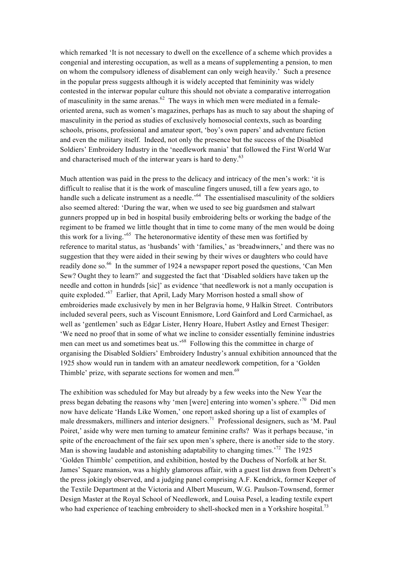which remarked 'It is not necessary to dwell on the excellence of a scheme which provides a congenial and interesting occupation, as well as a means of supplementing a pension, to men on whom the compulsory idleness of disablement can only weigh heavily.' Such a presence in the popular press suggests although it is widely accepted that femininity was widely contested in the interwar popular culture this should not obviate a comparative interrogation of masculinity in the same arenas. $^{62}$  The ways in which men were mediated in a femaleoriented arena, such as women's magazines, perhaps has as much to say about the shaping of masculinity in the period as studies of exclusively homosocial contexts, such as boarding schools, prisons, professional and amateur sport, 'boy's own papers' and adventure fiction and even the military itself. Indeed, not only the presence but the success of the Disabled Soldiers' Embroidery Industry in the 'needlework mania' that followed the First World War and characterised much of the interwar years is hard to deny.<sup>63</sup>

Much attention was paid in the press to the delicacy and intricacy of the men's work: 'it is difficult to realise that it is the work of masculine fingers unused, till a few years ago, to handle such a delicate instrument as a needle.<sup> $64$ </sup> The essentialised masculinity of the soldiers also seemed altered: 'During the war, when we used to see big guardsmen and stalwart gunners propped up in bed in hospital busily embroidering belts or working the badge of the regiment to be framed we little thought that in time to come many of the men would be doing this work for a living.<sup>565</sup> The heteronormative identity of these men was fortified by reference to marital status, as 'husbands' with 'families,' as 'breadwinners,' and there was no suggestion that they were aided in their sewing by their wives or daughters who could have readily done so.<sup>66</sup> In the summer of 1924 a newspaper report posed the questions, 'Can Men Sew? Ought they to learn?' and suggested the fact that 'Disabled soldiers have taken up the needle and cotton in hundrds [sic]' as evidence 'that needlework is not a manly occupation is quite exploded.<sup>'67</sup> Earlier, that April, Lady Mary Morrison hosted a small show of embroideries made exclusively by men in her Belgravia home, 9 Halkin Street. Contributors included several peers, such as Viscount Ennismore, Lord Gainford and Lord Carmichael, as well as 'gentlemen' such as Edgar Lister, Henry Hoare, Hubert Astley and Ernest Thesiger: 'We need no proof that in some of what we incline to consider essentially feminine industries men can meet us and sometimes beat us.'68 Following this the committee in charge of organising the Disabled Soldiers' Embroidery Industry's annual exhibition announced that the 1925 show would run in tandem with an amateur needlework competition, for a 'Golden Thimble' prize, with separate sections for women and men.<sup>69</sup>

The exhibition was scheduled for May but already by a few weeks into the New Year the press began debating the reasons why 'men [were] entering into women's sphere.<sup>'70</sup> Did men now have delicate 'Hands Like Women,' one report asked shoring up a list of examples of male dressmakers, milliners and interior designers.71 Professional designers, such as 'M. Paul Poiret,' aside why were men turning to amateur feminine crafts? Was it perhaps because, 'in spite of the encroachment of the fair sex upon men's sphere, there is another side to the story. Man is showing laudable and astonishing adaptability to changing times.<sup>72</sup> The 1925 'Golden Thimble' competition, and exhibition, hosted by the Duchess of Norfolk at her St. James' Square mansion, was a highly glamorous affair, with a guest list drawn from Debrett's the press jokingly observed, and a judging panel comprising A.F. Kendrick, former Keeper of the Textile Department at the Victoria and Albert Museum, W.G. Paulson-Townsend, former Design Master at the Royal School of Needlework, and Louisa Pesel, a leading textile expert who had experience of teaching embroidery to shell-shocked men in a Yorkshire hospital.<sup>73</sup>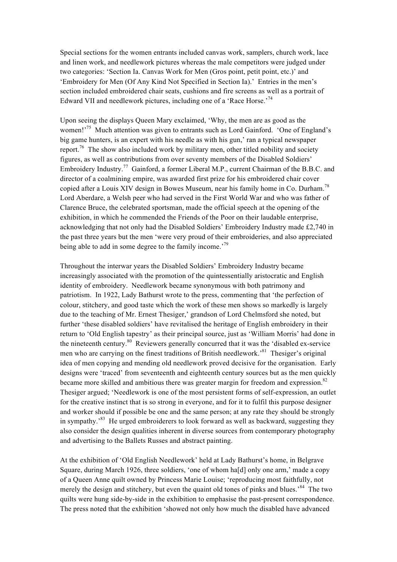Special sections for the women entrants included canvas work, samplers, church work, lace and linen work, and needlework pictures whereas the male competitors were judged under two categories: 'Section Ia. Canvas Work for Men (Gros point, petit point, etc.)' and 'Embroidery for Men (Of Any Kind Not Specified in Section Ia).' Entries in the men's section included embroidered chair seats, cushions and fire screens as well as a portrait of Edward VII and needlework pictures, including one of a 'Race Horse.'<sup>74</sup>

Upon seeing the displays Queen Mary exclaimed, 'Why, the men are as good as the women!<sup>75</sup> Much attention was given to entrants such as Lord Gainford. 'One of England's big game hunters, is an expert with his needle as with his gun,' ran a typical newspaper report.<sup>76</sup> The show also included work by military men, other titled nobility and society figures, as well as contributions from over seventy members of the Disabled Soldiers' Embroidery Industry.<sup>77</sup> Gainford, a former Liberal M.P., current Chairman of the B.B.C. and director of a coalmining empire, was awarded first prize for his embroidered chair cover copied after a Louis XIV design in Bowes Museum, near his family home in Co. Durham.<sup>78</sup> Lord Aberdare, a Welsh peer who had served in the First World War and who was father of Clarence Bruce, the celebrated sportsman, made the official speech at the opening of the exhibition, in which he commended the Friends of the Poor on their laudable enterprise, acknowledging that not only had the Disabled Soldiers' Embroidery Industry made £2,740 in the past three years but the men 'were very proud of their embroideries, and also appreciated being able to add in some degree to the family income.<sup>79</sup>

Throughout the interwar years the Disabled Soldiers' Embroidery Industry became increasingly associated with the promotion of the quintessentially aristocratic and English identity of embroidery. Needlework became synonymous with both patrimony and patriotism. In 1922, Lady Bathurst wrote to the press, commenting that 'the perfection of colour, stitchery, and good taste which the work of these men shows so markedly is largely due to the teaching of Mr. Ernest Thesiger,' grandson of Lord Chelmsford she noted, but further 'these disabled soldiers' have revitalised the heritage of English embroidery in their return to 'Old English tapestry' as their principal source, just as 'William Morris' had done in the nineteenth century.80 Reviewers generally concurred that it was the 'disabled ex-service men who are carrying on the finest traditions of British needlework.<sup>81</sup> Thesiger's original idea of men copying and mending old needlework proved decisive for the organisation. Early designs were 'traced' from seventeenth and eighteenth century sources but as the men quickly became more skilled and ambitious there was greater margin for freedom and expression.<sup>82</sup> Thesiger argued; 'Needlework is one of the most persistent forms of self-expression, an outlet for the creative instinct that is so strong in everyone, and for it to fulfil this purpose designer and worker should if possible be one and the same person; at any rate they should be strongly in sympathy.<sup>83</sup> He urged embroiderers to look forward as well as backward, suggesting they also consider the design qualities inherent in diverse sources from contemporary photography and advertising to the Ballets Russes and abstract painting.

At the exhibition of 'Old English Needlework' held at Lady Bathurst's home, in Belgrave Square, during March 1926, three soldiers, 'one of whom ha[d] only one arm,' made a copy of a Queen Anne quilt owned by Princess Marie Louise; 'reproducing most faithfully, not merely the design and stitchery, but even the quaint old tones of pinks and blues.<sup>84</sup> The two quilts were hung side-by-side in the exhibition to emphasise the past-present correspondence. The press noted that the exhibition 'showed not only how much the disabled have advanced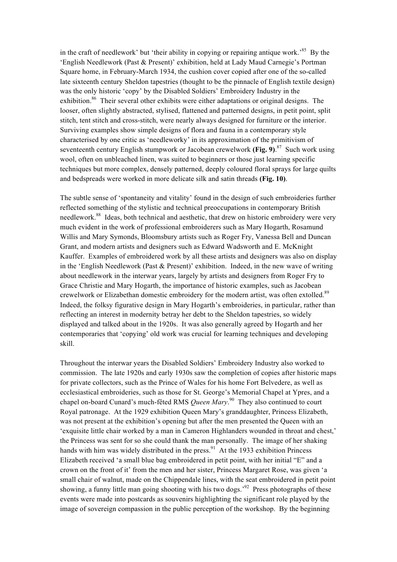in the craft of needlework' but 'their ability in copying or repairing antique work.<sup>85</sup> By the 'English Needlework (Past & Present)' exhibition, held at Lady Maud Carnegie's Portman Square home, in February-March 1934, the cushion cover copied after one of the so-called late sixteenth century Sheldon tapestries (thought to be the pinnacle of English textile design) was the only historic 'copy' by the Disabled Soldiers' Embroidery Industry in the exhibition.<sup>86</sup> Their several other exhibits were either adaptations or original designs. The looser, often slightly abstracted, stylised, flattened and patterned designs, in petit point, split stitch, tent stitch and cross-stitch, were nearly always designed for furniture or the interior. Surviving examples show simple designs of flora and fauna in a contemporary style characterised by one critic as 'needleworky' in its approximation of the primitivism of seventeenth century English stumpwork or Jacobean crewelwork **(Fig. 9)**. <sup>87</sup> Such work using wool, often on unbleached linen, was suited to beginners or those just learning specific techniques but more complex, densely patterned, deeply coloured floral sprays for large quilts and bedspreads were worked in more delicate silk and satin threads **(Fig. 10)**.

The subtle sense of 'spontaneity and vitality' found in the design of such embroideries further reflected something of the stylistic and technical preoccupations in contemporary British needlework.<sup>88</sup> Ideas, both technical and aesthetic, that drew on historic embroidery were very much evident in the work of professional embroiderers such as Mary Hogarth, Rosamund Willis and Mary Symonds, Bloomsbury artists such as Roger Fry, Vanessa Bell and Duncan Grant, and modern artists and designers such as Edward Wadsworth and E. McKnight Kauffer. Examples of embroidered work by all these artists and designers was also on display in the 'English Needlework (Past & Present)' exhibition. Indeed, in the new wave of writing about needlework in the interwar years, largely by artists and designers from Roger Fry to Grace Christie and Mary Hogarth, the importance of historic examples, such as Jacobean crewelwork or Elizabethan domestic embroidery for the modern artist, was often extolled.<sup>89</sup> Indeed, the folksy figurative design in Mary Hogarth's embroideries, in particular, rather than reflecting an interest in modernity betray her debt to the Sheldon tapestries, so widely displayed and talked about in the 1920s. It was also generally agreed by Hogarth and her contemporaries that 'copying' old work was crucial for learning techniques and developing skill.

Throughout the interwar years the Disabled Soldiers' Embroidery Industry also worked to commission. The late 1920s and early 1930s saw the completion of copies after historic maps for private collectors, such as the Prince of Wales for his home Fort Belvedere, as well as ecclesiastical embroideries, such as those for St. George's Memorial Chapel at Ypres, and a chapel on-board Cunard's much-fêted RMS *Queen Mary*. 90 They also continued to court Royal patronage. At the 1929 exhibition Queen Mary's granddaughter, Princess Elizabeth, was not present at the exhibition's opening but after the men presented the Queen with an 'exquisite little chair worked by a man in Cameron Highlanders wounded in throat and chest,' the Princess was sent for so she could thank the man personally. The image of her shaking hands with him was widely distributed in the press.<sup>91</sup> At the 1933 exhibition Princess Elizabeth received 'a small blue bag embroidered in petit point, with her initial "E" and a crown on the front of it' from the men and her sister, Princess Margaret Rose, was given 'a small chair of walnut, made on the Chippendale lines, with the seat embroidered in petit point showing, a funny little man going shooting with his two dogs.<sup>92</sup> Press photographs of these events were made into postcards as souvenirs highlighting the significant role played by the image of sovereign compassion in the public perception of the workshop.By the beginning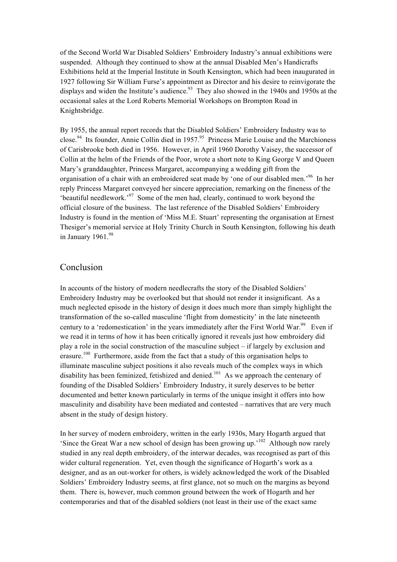of the Second World War Disabled Soldiers' Embroidery Industry's annual exhibitions were suspended. Although they continued to show at the annual Disabled Men's Handicrafts Exhibitions held at the Imperial Institute in South Kensington, which had been inaugurated in 1927 following Sir William Furse's appointment as Director and his desire to reinvigorate the displays and widen the Institute's audience.<sup>93</sup> They also showed in the 1940s and 1950s at the occasional sales at the Lord Roberts Memorial Workshops on Brompton Road in Knightsbridge.

By 1955, the annual report records that the Disabled Soldiers' Embroidery Industry was to close.<sup>94</sup> Its founder, Annie Collin died in 1957.<sup>95</sup> Princess Marie Louise and the Marchioness of Carisbrooke both died in 1956. However, in April 1960 Dorothy Vaisey, the successor of Collin at the helm of the Friends of the Poor, wrote a short note to King George V and Queen Mary's granddaughter, Princess Margaret, accompanying a wedding gift from the organisation of a chair with an embroidered seat made by 'one of our disabled men.'96 In her reply Princess Margaret conveyed her sincere appreciation, remarking on the fineness of the 'beautiful needlework.'97 Some of the men had, clearly, continued to work beyond the official closure of the business. The last reference of the Disabled Soldiers' Embroidery Industry is found in the mention of 'Miss M.E. Stuart' representing the organisation at Ernest Thesiger's memorial service at Holy Trinity Church in South Kensington, following his death in January  $1961.<sup>98</sup>$ 

### Conclusion

In accounts of the history of modern needlecrafts the story of the Disabled Soldiers' Embroidery Industry may be overlooked but that should not render it insignificant. As a much neglected episode in the history of design it does much more than simply highlight the transformation of the so-called masculine 'flight from domesticity' in the late nineteenth century to a 'redomestication' in the years immediately after the First World War.<sup>99</sup> Even if we read it in terms of how it has been critically ignored it reveals just how embroidery did play a role in the social construction of the masculine subject – if largely by exclusion and erasure.<sup>100</sup> Furthermore, aside from the fact that a study of this organisation helps to illuminate masculine subject positions it also reveals much of the complex ways in which disability has been feminized, fetishized and denied.<sup>101</sup> As we approach the centenary of founding of the Disabled Soldiers' Embroidery Industry, it surely deserves to be better documented and better known particularly in terms of the unique insight it offers into how masculinity and disability have been mediated and contested – narratives that are very much absent in the study of design history.

In her survey of modern embroidery, written in the early 1930s, Mary Hogarth argued that 'Since the Great War a new school of design has been growing up.'102 Although now rarely studied in any real depth embroidery, of the interwar decades, was recognised as part of this wider cultural regeneration. Yet, even though the significance of Hogarth's work as a designer, and as an out-worker for others, is widely acknowledged the work of the Disabled Soldiers' Embroidery Industry seems, at first glance, not so much on the margins as beyond them. There is, however, much common ground between the work of Hogarth and her contemporaries and that of the disabled soldiers (not least in their use of the exact same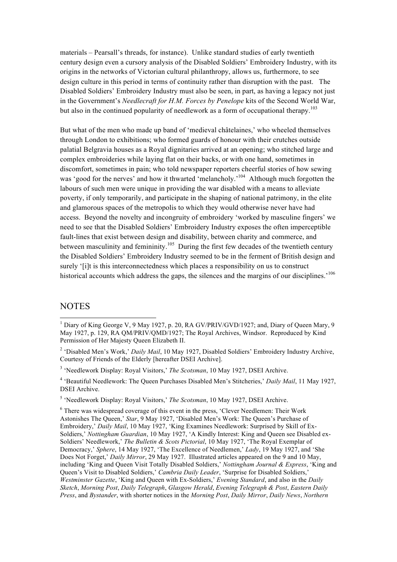materials – Pearsall's threads, for instance). Unlike standard studies of early twentieth century design even a cursory analysis of the Disabled Soldiers' Embroidery Industry, with its origins in the networks of Victorian cultural philanthropy, allows us, furthermore, to see design culture in this period in terms of continuity rather than disruption with the past. The Disabled Soldiers' Embroidery Industry must also be seen, in part, as having a legacy not just in the Government's *Needlecraft for H.M. Forces by Penelope* kits of the Second World War, but also in the continued popularity of needlework as a form of occupational therapy.<sup>103</sup>

But what of the men who made up band of 'medieval châtelaines,' who wheeled themselves through London to exhibitions; who formed guards of honour with their crutches outside palatial Belgravia houses as a Royal dignitaries arrived at an opening; who stitched large and complex embroideries while laying flat on their backs, or with one hand, sometimes in discomfort, sometimes in pain; who told newspaper reporters cheerful stories of how sewing was 'good for the nerves' and how it thwarted 'melancholy.<sup>'104</sup> Although much forgotten the labours of such men were unique in providing the war disabled with a means to alleviate poverty, if only temporarily, and participate in the shaping of national patrimony, in the elite and glamorous spaces of the metropolis to which they would otherwise never have had access. Beyond the novelty and incongruity of embroidery 'worked by masculine fingers' we need to see that the Disabled Soldiers' Embroidery Industry exposes the often imperceptible fault-lines that exist between design and disability, between charity and commerce, and between masculinity and femininity.<sup>105</sup> During the first few decades of the twentieth century the Disabled Soldiers' Embroidery Industry seemed to be in the ferment of British design and surely '[i]t is this interconnectedness which places a responsibility on us to construct historical accounts which address the gaps, the silences and the margins of our disciplines.<sup>'106</sup>

# **NOTES**

<sup>2</sup> 'Disabled Men's Work,' *Daily Mail*, 10 May 1927, Disabled Soldiers' Embroidery Industry Archive, Courtesy of Friends of the Elderly [hereafter DSEI Archive].

<sup>3</sup> 'Needlework Display: Royal Visitors,' *The Scotsman*, 10 May 1927, DSEI Archive.

<sup>4</sup> 'Beautiful Needlework: The Queen Purchases Disabled Men's Stitcheries,' *Daily Mail*, 11 May 1927, DSEI Archive.

<sup>5</sup> 'Needlework Display: Royal Visitors,' *The Scotsman*, 10 May 1927, DSEI Archive.

<sup>6</sup> There was widespread coverage of this event in the press, 'Clever Needlemen: Their Work Astonishes The Queen,' *Star*, 9 May 1927, 'Disabled Men's Work: The Queen's Purchase of Embroidery,' *Daily Mail*, 10 May 1927, 'King Examines Needlework: Surprised by Skill of Ex-Soldiers,' *Nottingham Guardian*, 10 May 1927, 'A Kindly Interest: King and Queen see Disabled ex-Soldiers' Needlework,' *The Bulletin & Scots Pictorial*, 10 May 1927, 'The Royal Exemplar of Democracy,' *Sphere*, 14 May 1927, 'The Excellence of Needlemen,' *Lady*, 19 May 1927, and 'She Does Not Forget,' *Daily Mirror*, 29 May 1927. Illustrated articles appeared on the 9 and 10 May, including 'King and Queen Visit Totally Disabled Soldiers,' *Nottingham Journal & Express*, 'King and Queen's Visit to Disabled Soldiers,' *Cambria Daily Leader*, 'Surprise for Disabled Soldiers,' *Westminster Gazette*, 'King and Queen with Ex-Soldiers,' *Evening Standard*, and also in the *Daily Sketch*, *Morning Post*, *Daily Telegraph*, *Glasgow Herald*, *Evening Telegraph & Post*, *Eastern Daily Press*, and *Bystander*, with shorter notices in the *Morning Post*, *Daily Mirror*, *Daily News*, *Northern* 

<sup>&</sup>lt;sup>1</sup> Diary of King George V, 9 May 1927, p. 20, RA GV/PRIV/GVD/1927; and, Diary of Queen Mary, 9 May 1927, p. 129, RA QM/PRIV/QMD/1927; The Royal Archives, Windsor. Reproduced by Kind Permission of Her Majesty Queen Elizabeth II.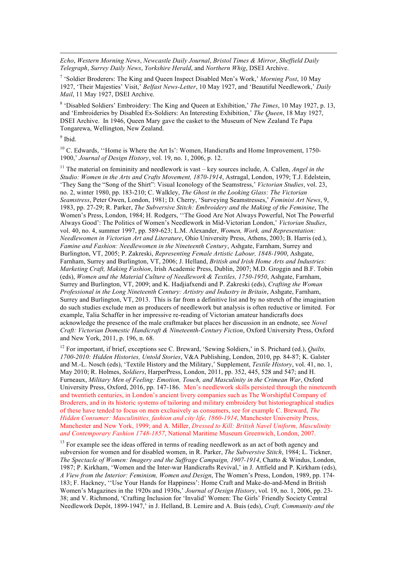*Echo*, *Western Morning News*, *Newcastle Daily Journal*, *Bristol Times & Mirror*, *Sheffield Daily Telegraph*, *Surrey Daily News*, *Yorkshire Herald*, and *Northern Whig*, DSEI Archive.

<sup>7</sup> 'Soldier Broderers: The King and Queen Inspect Disabled Men's Work,' *Morning Post*, 10 May 1927, 'Their Majesties' Visit,' *Belfast News-Letter*, 10 May 1927, and 'Beautiful Needlework,' *Daily Mail*, 11 May 1927, DSEI Archive.

<sup>8</sup> 'Disabled Soldiers' Embroidery: The King and Queen at Exhibition,' *The Times*, 10 May 1927, p. 13, and 'Embroideries by Disabled Ex-Soldiers: An Interesting Exhibition,' *The Queen*, 18 May 1927, DSEI Archive. In 1946, Queen Mary gave the casket to the Museum of New Zealand Te Papa Tongarewa, Wellington, New Zealand.

 $9$  Ibid.

l

<sup>10</sup> C. Edwards, "Home is Where the Art Is': Women, Handicrafts and Home Improvement, 1750-1900,' *Journal of Design History*, vol. 19, no. 1, 2006, p. 12.

<sup>11</sup> The material on femininity and needlework is vast – key sources include, A. Callen, *Angel in the Studio: Women in the Arts and Crafts Movement, 1870-1914*, Astragal, London, 1979; T.J. Edelstein, 'They Sang the "Song of the Shirt": Visual Iconology of the Seamstress,' *Victorian Studies*, vol. 23, no. 2, winter 1980, pp. 183-210; C. Walkley, *The Ghost in the Looking Glass: The Victorian Seamstress*, Peter Owen, London, 1981; D. Cherry, 'Surveying Seamstresses,' *Feminist Art News*, 9, 1983, pp. 27-29; R. Parker, *The Subversive Stitch: Embroidery and the Making of the Feminine*, The Women's Press, London, 1984; H. Rodgers, ''The Good Are Not Always Powerful, Not The Powerful Always Good': The Politics of Women's Needlework in Mid-Victorian London,' *Victorian Studies*, vol. 40, no. 4, summer 1997, pp. 589-623; L.M. Alexander, *Women, Work, and Representation: Needlewomen in Victorian Art and Literature*, Ohio University Press, Athens, 2003; B. Harris (ed.), *Famine and Fashion: Needlewomen in the Nineteenth Century*, Ashgate, Farnham, Surrey and Burlington, VT, 2005; P. Zakreski, *Representing Female Artistic Labour, 1848-1900*, Ashgate, Farnham, Surrey and Burlington, VT, 2006; J. Helland, *British and Irish Home Arts and Industries: Marketing Craft, Making Fashion*, Irish Academic Press, Dublin, 2007; M.D. Groggin and B.F. Tobin (eds), *Women and the Material Culture of Needlework & Textiles, 1750-1950*, Ashgate, Farnham, Surrey and Burlington, VT, 2009; and K. Hadjiafxendi and P. Zakreski (eds), *Crafting the Woman Professional in the Long Nineteenth Century: Artistry and Industry in Britain*, Ashgate, Farnham, Surrey and Burlington, VT, 2013. This is far from a definitive list and by no stretch of the imagination do such studies exclude men as producers of needlework but analysis is often reductive or limited. For example, Talia Schaffer in her impressive re-reading of Victorian amateur handicrafts does acknowledge the presence of the male craftmaker but places her discussion in an endnote, see *Novel Craft: Victorian Domestic Handicraft & Nineteenth-Century Fiction*, Oxford University Press, Oxford and New York, 2011, p. 196, n. 68.

<sup>12</sup> For important, if brief, exceptions see C. Breward, 'Sewing Soldiers,' in S. Prichard (ed.), *Quilts*, *1700-2010: Hidden Histories, Untold Stories*, V&A Publishing, London, 2010, pp. 84-87; K. Galster and M.-L. Nosch (eds), 'Textile History and the Military,' Supplement, *Textile History*, vol. 41, no. 1, May 2010; R. Holmes, *Soldiers*, HarperPress, London, 2011, pp. 352, 445, 528 and 547; and H. Furneaux, *Military Men of Feeling: Emotion, Touch, and Masculinity in the Crimean War*, Oxford University Press, Oxford, 2016, pp. 147-186. Men's needlework skills persisted through the nineteenth and twentieth centuries, in London's ancient livery companies such as The Worshipful Company of Broderers, and in its historic systems of tailoring and military embroidery but historiographical studies of these have tended to focus on men exclusively as consumers, see for example C. Breward, *The Hidden Consumer: Masculinities, fashion and city life, 1860-1914*, Manchester University Press, Manchester and New York, 1999; and A. Miller, *Dressed to Kill: British Navel Uniform, Masculinity and Contemporary Fashion 1748-1857*, National Maritime Museum Greenwich, London, 2007.

<sup>13</sup> For example see the ideas offered in terms of reading needlework as an act of both agency and subversion for women and for disabled women, in R. Parker, *The Subversive Stitch*, 1984; L. Tickner, *The Spectacle of Women: Imagery and the Suffrage Campaign, 1907-1914*, Chatto & Windus, London, 1987; P. Kirkham, 'Women and the Inter-war Handicrafts Revival,' in J. Attfield and P. Kirkham (eds), *A View from the Interior: Feminism, Women and Design*, The Women's Press, London, 1989, pp. 174- 183; F. Hackney, ''Use Your Hands for Happiness': Home Craft and Make-do-and-Mend in British Women's Magazines in the 1920s and 1930s,' *Journal of Design History*, vol. 19, no. 1, 2006, pp. 23- 38; and V. Richmond, 'Crafting Inclusion for 'Invalid' Women: The Girls' Friendly Society Central Needlework Depôt, 1899-1947,' in J. Helland, B. Lemire and A. Buis (eds), *Craft, Community and the*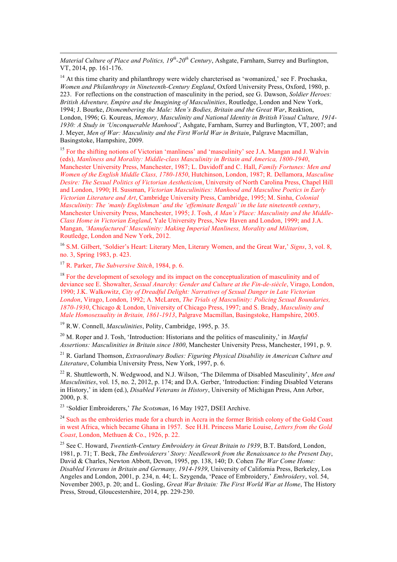*Material Culture of Place and Politics, 19th-20th Century*, Ashgate, Farnham, Surrey and Burlington, VT, 2014, pp. 161-176.

 $14$  At this time charity and philanthropy were widely charcterised as 'womanized,' see F. Prochaska *Women and Philanthropy in Nineteenth-Century England*, Oxford University Press, Oxford, 1980, p. 223. For reflections on the construction of masculinity in the period, see G. Dawson, *Soldier Heroes: British Adventure, Empire and the Imagining of Masculinities*, Routledge, London and New York, 1994; J. Bourke, *Dismembering the Male: Men's Bodies, Britain and the Great War*, Reaktion, London, 1996; G. Koureas, *Memory, Masculinity and National Identity in British Visual Culture, 1914- 1930: A Study in 'Unconquerable Manhood'*, Ashgate, Farnham, Surrey and Burlington, VT, 2007; and J. Meyer, *Men of War: Masculinity and the First World War in Britain*, Palgrave Macmillan, Basingstoke, Hampshire, 2009.

<sup>15</sup> For the shifting notions of Victorian 'manliness' and 'masculinity' see J.A. Mangan and J. Walvin (eds), *Manliness and Morality: Middle-class Masculinity in Britain and America, 1800-1940*, Manchester University Press, Manchester, 1987; L. Davidoff and C. Hall, *Family Fortunes: Men and Women of the English Middle Class, 1780-1850*, Hutchinson, London, 1987; R. Dellamora, *Masculine Desire: The Sexual Politics of Victorian Aestheticism*, University of North Carolina Press, Chapel Hill and London, 1990; H. Sussman, *Victorian Masculinities: Manhood and Masculine Poetics in Early Victorian Literature and Art*, Cambridge University Press, Cambridge, 1995; M. Sinha, *Colonial Masculinity: The 'manly Englishman' and the 'effeminate Bengali' in the late nineteenth century*, Manchester University Press, Manchester, 1995; J. Tosh, *A Man's Place: Masculinity and the Middle-Class Home in Victorian England*, Yale University Press, New Haven and London, 1999; and J.A. Mangan, *'Manufactured' Masculinity: Making Imperial Manliness, Morality and Militarism*, Routledge, London and New York, 2012.

<sup>16</sup> S.M. Gilbert, 'Soldier's Heart: Literary Men, Literary Women, and the Great War,' *Signs*, 3, vol. 8, no. 3, Spring 1983, p. 423.

<sup>17</sup> R. Parker, *The Subversive Stitch*, 1984, p. 6.

l

<sup>18</sup> For the development of sexology and its impact on the conceptualization of masculinity and of deviance see E. Showalter, *Sexual Anarchy: Gender and Culture at the Fin-de-siècle*, Virago, London, 1990; J.K. Walkowitz, *City of Dreadful Delight: Narratives of Sexual Danger in Late Victorian London*, Virago, London, 1992; A. McLaren, *The Trials of Masculinity: Policing Sexual Boundaries, 1870-1930*, Chicago & London, University of Chicago Press, 1997; and S. Brady, *Masculinity and Male Homosexuality in Britain, 1861-1913*, Palgrave Macmillan, Basingstoke, Hampshire, 2005.

<sup>19</sup> R.W. Connell, *Masculinities*, Polity, Cambridge, 1995, p. 35.

<sup>20</sup> M. Roper and J. Tosh, 'Introduction: Historians and the politics of masculinity,' in *Manful Assertions: Masculinities in Britain since 1800*, Manchester University Press, Manchester, 1991, p. 9.

<sup>21</sup> R. Garland Thomson, *Extraordinary Bodies: Figuring Physical Disability in American Culture and Literature*, Columbia University Press, New York, 1997, p. 6.

<sup>22</sup> R. Shuttleworth, N. Wedgwood, and N.J. Wilson, 'The Dilemma of Disabled Masculinity', *Men and Masculinities*, vol. 15, no. 2, 2012, p. 174; and D.A. Gerber, 'Introduction: Finding Disabled Veterans in History,' in idem (ed.), *Disabled Veterans in History*, University of Michigan Press, Ann Arbor, 2000, p. 8.

<sup>23</sup> 'Soldier Embroiderers,' *The Scotsman*, 16 May 1927, DSEI Archive.

<sup>24</sup> Such as the embroideries made for a church in Accra in the former British colony of the Gold Coast in west Africa, which became Ghana in 1957. See H.H. Princess Marie Louise, *Letters from the Gold Coast*, London, Methuen & Co., 1926, p. 22.

<sup>25</sup> See C. Howard, *Twentieth-Century Embroidery in Great Britain to 1939*, B.T. Batsford, London, 1981, p. 71; T. Beck, *The Embroiderers' Story: Needlework from the Renaissance to the Present Day*, David & Charles, Newton Abbott, Devon, 1995, pp. 138, 140; D. Cohen *The War Come Home: Disabled Veterans in Britain and Germany, 1914-1939*, University of California Press, Berkeley, Los Angeles and London, 2001, p. 234, n. 44; L. Szygenda, 'Peace of Embroidery,' *Embroidery*, vol. 54, November 2003, p. 20; and L. Gosling, *Great War Britain: The First World War at Home*, The History Press, Stroud, Gloucestershire, 2014, pp. 229-230.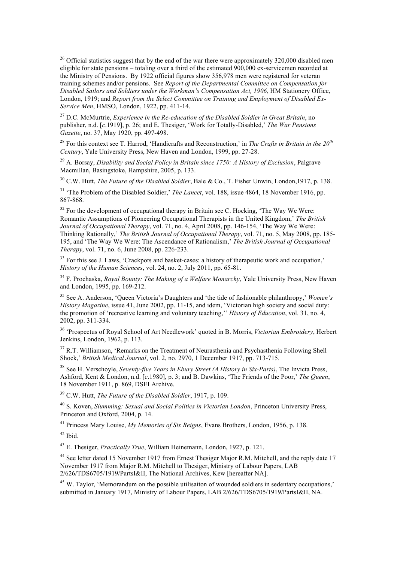<sup>26</sup> Official statistics suggest that by the end of the war there were approximately 320,000 disabled men eligible for state pensions – totaling over a third of the estimated 900,000 ex-servicemen recorded at the Ministry of Pensions. By 1922 official figures show 356,978 men were registered for veteran training schemes and/or pensions. See *Report of the Departmental Committee on Compensation for Disabled Sailors and Soldiers under the Workman's Compensation Act, 1906*, HM Stationery Office, London, 1919; and *Report from the Select Committee on Training and Employment of Disabled Ex-Service Men*, HMSO, London, 1922, pp. 411-14.

<sup>27</sup> D.C. McMurtrie, *Experience in the Re-education of the Disabled Soldier in Great Britain*, no publisher, n.d. [*c*.1919], p. 26; and E. Thesiger, 'Work for Totally-Disabled,' *The War Pensions Gazette*, no. 37, May 1920, pp. 497-498.

<sup>28</sup> For this context see T. Harrod, 'Handicrafts and Reconstruction,' in *The Crafts in Britain in the 20th Century*, Yale University Press, New Haven and London, 1999, pp. 27-28.

<sup>29</sup> A. Borsay, *Disability and Social Policy in Britain since 1750: A History of Exclusion*, Palgrave Macmillan, Basingstoke, Hampshire, 2005, p. 133.

<sup>30</sup> C.W. Hutt, *The Future of the Disabled Soldier*, Bale & Co., T. Fisher Unwin, London,1917, p. 138.

<sup>31</sup> 'The Problem of the Disabled Soldier,' *The Lancet*, vol. 188, issue 4864, 18 November 1916, pp. 867-868.

 $32$  For the development of occupational therapy in Britain see C. Hocking, 'The Way We Were: Romantic Assumptions of Pioneering Occupational Therapists in the United Kingdom,' *The British Journal of Occupational Therapy*, vol. 71, no. 4, April 2008, pp. 146-154, 'The Way We Were: Thinking Rationally,' *The British Journal of Occupational Therapy*, vol. 71, no. 5, May 2008, pp. 185- 195, and 'The Way We Were: The Ascendance of Rationalism,' *The British Journal of Occupational Therapy*, vol. 71, no. 6, June 2008, pp. 226-233.

<sup>33</sup> For this see J. Laws, 'Crackpots and basket-cases: a history of therapeutic work and occupation,' *History of the Human Sciences*, vol. 24, no. 2, July 2011, pp. 65-81.

<sup>34</sup> F. Prochaska, *Royal Bounty: The Making of a Welfare Monarchy*, Yale University Press, New Haven and London, 1995, pp. 169-212.

<sup>35</sup> See A. Anderson, 'Queen Victoria's Daughters and 'the tide of fashionable philanthropy,' *Women's History Magazine*, issue 41, June 2002, pp. 11-15, and idem, 'Victorian high society and social duty: the promotion of 'recreative learning and voluntary teaching,'' *History of Education*, vol. 31, no. 4, 2002, pp. 311-334.

<sup>36</sup> 'Prospectus of Royal School of Art Needlework' quoted in B. Morris, *Victorian Embroidery*, Herbert Jenkins, London, 1962, p. 113.

<sup>37</sup> R.T. Williamson, 'Remarks on the Treatment of Neurasthenia and Psychasthenia Following Shell Shock,' *British Medical Journal*, vol. 2, no. 2970, 1 December 1917, pp. 713-715.

<sup>38</sup> See H. Verschoyle, *Seventy-five Years in Ebury Street (A History in Six-Parts)*, The Invicta Press, Ashford, Kent & London, n.d. [*c*.1980], p. 3; and B. Dawkins, 'The Friends of the Poor,' *The Queen*, 18 November 1911, p. 869, DSEI Archive.

<sup>39</sup> C.W. Hutt, *The Future of the Disabled Soldier*, 1917, p. 109.

<sup>40</sup> S. Koven, *Slumming: Sexual and Social Politics in Victorian London*, Princeton University Press, Princeton and Oxford, 2004, p. 14.

<sup>41</sup> Princess Mary Louise, *My Memories of Six Reigns*, Evans Brothers, London, 1956, p. 138.

 $42$  Ibid.

<sup>43</sup> E. Thesiger, *Practically True*, William Heinemann, London, 1927, p. 121.

<sup>44</sup> See letter dated 15 November 1917 from Ernest Thesiger Major R.M. Mitchell, and the reply date 17 November 1917 from Major R.M. Mitchell to Thesiger, Ministry of Labour Papers, LAB 2/626/TDS6705/1919/PartsI&II, The National Archives, Kew [hereafter NA].

<sup>45</sup> W. Taylor, 'Memorandum on the possible utilisaiton of wounded soldiers in sedentary occupations,' submitted in January 1917, Ministry of Labour Papers, LAB 2/626/TDS6705/1919/PartsI&II, NA.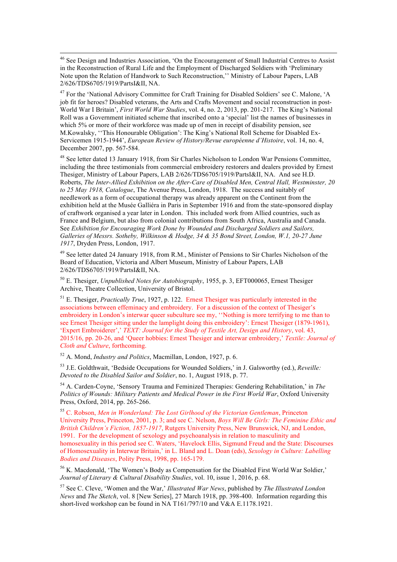46 See Design and Industries Association, 'On the Encouragement of Small Industrial Centres to Assist in the Reconstruction of Rural Life and the Employment of Discharged Soldiers with 'Preliminary Note upon the Relation of Handwork to Such Reconstruction,'' Ministry of Labour Papers, LAB 2/626/TDS6705/1919/PartsI&II, NA.

<sup>47</sup> For the 'National Advisory Committee for Craft Training for Disabled Soldiers' see C. Malone, 'A job fit for heroes? Disabled veterans, the Arts and Crafts Movement and social reconstruction in post-World War I Britain', *First World War Studies*, vol. 4, no. 2, 2013, pp. 201-217. The King's National Roll was a Government initiated scheme that inscribed onto a 'special' list the names of businesses in which 5% or more of their workforce was made up of men in receipt of disability pension, see M.Kowalsky, ''This Honourable Obligation': The King's National Roll Scheme for Disabled Ex-Servicemen 1915-1944', *European Review of History/Revue européenne d'Histoire*, vol. 14, no. 4, December 2007, pp. 567-584.

<sup>48</sup> See letter dated 13 January 1918, from Sir Charles Nicholson to London War Pensions Committee, including the three testimonials from commercial embroidery restorers and dealers provided by Ernest Thesiger, Ministry of Labour Papers, LAB 2/626/TDS6705/1919/PartsI&II, NA. And see H.D. Roberts, *The Inter-Allied Exhibition on the After-Care of Disabled Men, Central Hall, Westminster, 20 to 25 May 1918, Catalogue*, The Avenue Press, London, 1918. The success and suitably of needlework as a form of occupational therapy was already apparent on the Continent from the exhibition held at the Musée Galliéra in Paris in September 1916 and from the state-sponsored display of craftwork organised a year later in London. This included work from Allied countries, such as France and Belgium, but also from colonial contributions from South Africa, Australia and Canada. See *Exhibition for Encouraging Work Done by Wounded and Discharged Soldiers and Sailors, Galleries of Messrs. Sotheby, Wilkinson & Hodge, 34 & 35 Bond Street, London, W.1, 20-27 June 1917*, Dryden Press, London, 1917.

<sup>49</sup> See letter dated 24 January 1918, from R.M., Minister of Pensions to Sir Charles Nicholson of the Board of Education, Victoria and Albert Museum, Ministry of Labour Papers, LAB 2/626/TDS6705/1919/PartsI&II, NA.

<sup>50</sup> E. Thesiger, *Unpublished Notes for Autobiography*, 1955, p. 3, EFT000065, Ernest Thesiger Archive, Theatre Collection, University of Bristol.

<sup>51</sup> E. Thesiger, *Practically True*, 1927, p. 122. Ernest Thesiger was particularly interested in the associations between effeminacy and embroidery. For a discussion of the context of Thesiger's embroidery in London's interwar queer subculture see my, "Nothing is more terrifying to me than to see Ernest Thesiger sitting under the lamplight doing this embroidery': Ernest Thesiger (1879-1961), 'Expert Embroiderer',' *TEXT: Journal for the Study of Textile Art, Design and History*, vol. 43, 2015/16, pp. 20-26, and 'Queer hobbies: Ernest Thesiger and interwar embroidery,' *Textile: Journal of Cloth and Culture*, forthcoming.

<sup>52</sup> A. Mond, *Industry and Politics*, Macmillan, London, 1927, p. 6.

<sup>53</sup> J.E. Goldthwait, 'Bedside Occupations for Wounded Soldiers,' in J. Galsworthy (ed.), *Reveille: Devoted to the Disabled Sailor and Soldier*, no. 1, August 1918, p. 77.

<sup>54</sup> A. Carden-Coyne, 'Sensory Trauma and Feminized Therapies: Gendering Rehabilitation,' in *The Politics of Wounds: Military Patients and Medical Power in the First World War*, Oxford University Press, Oxford, 2014, pp. 265-266.

<sup>55</sup> C. Robson, *Men in Wonderland: The Lost Girlhood of the Victorian Gentleman*, Princeton University Press, Princeton, 2001, p. 3; and see C. Nelson, *Boys Will Be Girls: The Feminine Ethic and British Children's Fiction, 1857-1917*, Rutgers University Press, New Brunswick, NJ, and London, 1991. For the development of sexology and psychoanalysis in relation to masculinity and homosexuality in this period see C. Waters, 'Havelock Ellis, Sigmund Freud and the State: Discourses of Homosexuality in Interwar Britain,' in L. Bland and L. Doan (eds), *Sexology in Culture: Labelling Bodies and Diseases*, Polity Press, 1998, pp. 165-179.

<sup>56</sup> K. Macdonald, 'The Women's Body as Compensation for the Disabled First World War Soldier,' *Journal of Literary & Cultural Disability Studies*, vol. 10, issue 1, 2016, p. 68.

<sup>57</sup> See C. Cleve, 'Women and the War,' *Illustrated War News*, published by *The Illustrated London News* and *The Sketch*, vol. 8 [New Series], 27 March 1918, pp. 398-400. Information regarding this short-lived workshop can be found in NA T161/797/10 and V&A E.1178.1921.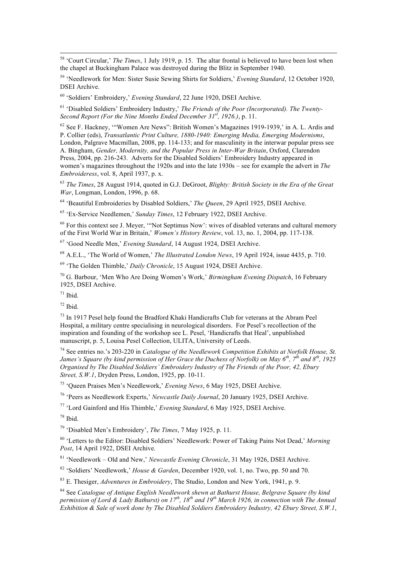58 'Court Circular,' *The Times*, 1 July 1919, p. 15. The altar frontal is believed to have been lost when the chapel at Buckingham Palace was destroyed during the Blitz in September 1940.

<sup>59</sup> 'Needlework for Men: Sister Susie Sewing Shirts for Soldiers,' *Evening Standard*, 12 October 1920, DSEI Archive.

<sup>60</sup> 'Soldiers' Embroidery,' *Evening Standard*, 22 June 1920, DSEI Archive.

<sup>61</sup> 'Disabled Soldiers' Embroidery Industry,' *The Friends of the Poor (Incorporated). The Twenty-Second Report (For the Nine Months Ended December 31st, 1926.)*, p. 11.

 $62$  See F. Hackney, "'Women Are News": British Women's Magazines 1919-1939,' in A. L. Ardis and P. Collier (eds), *Transatlantic Print Culture, 1880-1940: Emerging Media, Emerging Modernisms*, London, Palgrave Macmillan, 2008, pp. 114-133; and for masculinity in the interwar popular press see A. Bingham, *Gender, Modernity, and the Popular Press in Inter-War Britain*, Oxford, Clarendon Press, 2004, pp. 216-243. Adverts for the Disabled Soldiers' Embroidery Industry appeared in women's magazines throughout the 1920s and into the late 1930s – see for example the advert in *The Embroideress*, vol. 8, April 1937, p. x.

<sup>63</sup> *The Times*, 28 August 1914, quoted in G.J. DeGroot, *Blighty: British Society in the Era of the Great War*, Longman, London, 1996, p. 68.

<sup>64</sup> 'Beautiful Embroideries by Disabled Soldiers,' *The Queen*, 29 April 1925, DSEI Archive.

<sup>65</sup> 'Ex-Service Needlemen,' *Sunday Times*, 12 February 1922, DSEI Archive.

 $66$  For this context see J. Meyer, "Not Septimus Now': wives of disabled veterans and cultural memory of the First World War in Britain,' *Women's History Review*, vol. 13, no. 1, 2004, pp. 117-138.

<sup>67</sup> 'Good Needle Men,' *Evening Standard*, 14 August 1924, DSEI Archive.

<sup>68</sup> A.E.L., 'The World of Women,' *The Illustrated London News*, 19 April 1924, issue 4435, p. 710.

<sup>69</sup> 'The Golden Thimble,' *Daily Chronicle*, 15 August 1924, DSEI Archive.

<sup>70</sup> G. Barbour, 'Men Who Are Doing Women's Work,' *Birmingham Evening Dispatch*, 16 February 1925, DSEI Archive.

 $71$  Ibid.

 $72$  Ibid.

<sup>73</sup> In 1917 Pesel help found the Bradford Khaki Handicrafts Club for veterans at the Abram Peel Hospital, a military centre specialising in neurological disorders. For Pesel's recollection of the inspiration and founding of the workshop see L. Pesel, 'Handicrafts that Heal', unpublished manuscript, p. 5, Louisa Pesel Collection, ULITA, University of Leeds.

<sup>74</sup> See entries no.'s 203-220 in *Catalogue of the Needlework Competition Exhibits at Norfolk House, St. James's Square (by kind permission of Her Grace the Duchess of Norfolk) on May 6th, 7th and 8th, 1925 Organised by The Disabled Soldiers' Embroidery Industry of The Friends of the Poor, 42, Ebury Street, S.W.1*, Dryden Press, London, 1925, pp. 10-11.

<sup>75</sup> 'Queen Praises Men's Needlework,' *Evening News*, 6 May 1925, DSEI Archive.

<sup>76</sup> 'Peers as Needlework Experts,' *Newcastle Daily Journal*, 20 January 1925, DSEI Archive.

<sup>77</sup> 'Lord Gainford and His Thimble,' *Evening Standard*, 6 May 1925, DSEI Archive.

<sup>78</sup> Ibid.

<sup>79</sup> 'Disabled Men's Embroidery', *The Times*, 7 May 1925, p. 11.

<sup>80</sup> 'Letters to the Editor: Disabled Soldiers' Needlework: Power of Taking Pains Not Dead,' *Morning Post*, 14 April 1922, DSEI Archive.

<sup>81</sup> 'Needlework – Old and New,' *Newcastle Evening Chronicle*, 31 May 1926, DSEI Archive.

<sup>82</sup> 'Soldiers' Needlework,' *House & Garden*, December 1920, vol. 1, no. Two, pp. 50 and 70.

<sup>83</sup> E. Thesiger, *Adventures in Embroidery*, The Studio, London and New York, 1941, p. 9.

<sup>84</sup> See *Catalogue of Antique English Needlework shewn at Bathurst House, Belgrave Square (by kind permission of Lord & Lady Bathurst) on 17th, 18th and 19th March 1926, in connection with The Annual Exhibition & Sale of work done by The Disabled Soldiers Embroidery Industry, 42 Ebury Street, S.W.1*,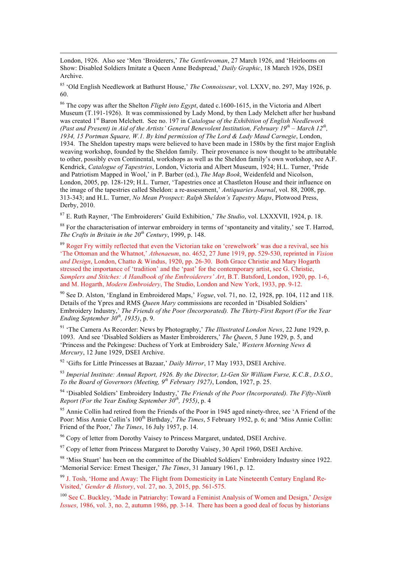London, 1926. Also see 'Men 'Broiderers,' *The Gentlewoman*, 27 March 1926, and 'Heirlooms on Show: Disabled Soldiers Imitate a Queen Anne Bedspread,' *Daily Graphic*, 18 March 1926, DSEI Archive.

l

<sup>85</sup> 'Old English Needlework at Bathurst House,' *The Connoisseur*, vol. LXXV, no. 297, May 1926, p. 60.

<sup>86</sup> The copy was after the Shelton *Flight into Egypt*, dated c.1600-1615, in the Victoria and Albert Museum (T.191-1926). It was commissioned by Lady Mond, by then Lady Melchett after her husband was created 1<sup>st</sup> Baron Melchett. See no. 197 in *Catalogue of the Exhibition of English Needlework (Past and Present) in Aid of the Artists' General Benevolent Institution, February 19th – March 12th, 1934, 15 Portman Square, W.1. By kind permission of The Lord & Lady Maud Carnegie*, London, 1934. The Sheldon tapestry maps were believed to have been made in 1580s by the first major English weaving workshop, founded by the Sheldon family. Their provenance is now thought to be attributable to other, possibly even Continental, workshops as well as the Sheldon family's own workshop, see A.F. Kendrick, *Catalogue of Tapestries*, London, Victoria and Albert Museum, 1924; H.L. Turner, 'Pride and Patriotism Mapped in Wool,' in P. Barber (ed.), *The Map Book*, Weidenfeld and Nicolson, London, 2005, pp. 128-129; H.L. Turner, 'Tapestries once at Chastleton House and their influence on the image of the tapestries called Sheldon: a re-assessment,' *Antiquaries Journal*, vol. 88, 2008, pp. 313-343; and H.L. Turner, *No Mean Prospect: Ralph Sheldon's Tapestry Maps*, Plotwood Press, Derby, 2010.

<sup>87</sup> E. Ruth Rayner, 'The Embroiderers' Guild Exhibition,' *The Studio*, vol. LXXXVII, 1924, p. 18.

<sup>88</sup> For the characterisation of interwar embroidery in terms of 'spontaneity and vitality,' see T. Harrod, *The Crafts in Britain in the 20th Century*, 1999, p. 148.

 $89$  Roger Fry wittily reflected that even the Victorian take on 'crewelwork' was due a revival, see his 'The Ottoman and the Whatnot,' *Athenaeum*, no. 4652, 27 June 1919, pp. 529-530, reprinted in *Vision and Design*, London, Chatto & Windus, 1920, pp. 26-30. Both Grace Christie and Mary Hogarth stressed the importance of 'tradition' and the 'past' for the contemporary artist, see G. Christie, *Samplers and Stitches: A Handbook of the Embroiderers' Art*, B.T. Batsford, London, 1920, pp. 1-6, and M. Hogarth, *Modern Embroidery*, The Studio, London and New York, 1933, pp. 9-12.

<sup>90</sup> See D. Alston, 'England in Embroidered Maps,' *Vogue*, vol. 71, no. 12, 1928, pp. 104, 112 and 118. Details of the Ypres and RMS *Queen Mary* commissions are recorded in 'Disabled Soldiers' Embroidery Industry,' *The Friends of the Poor (Incorporated). The Thirty-First Report (For the Year Ending September 30th, 1935)*, p. 9.

<sup>91</sup> 'The Camera As Recorder: News by Photography,' *The Illustrated London News*, 22 June 1929, p. 1093. And see 'Disabled Soldiers as Master Embroiderers,' *The Queen*, 5 June 1929, p. 5, and 'Princess and the Pekingese: Duchess of York at Embroidery Sale,' *Western Morning News & Mercury*, 12 June 1929, DSEI Archive.

<sup>92</sup> 'Gifts for Little Princesses at Bazaar,' *Daily Mirror*, 17 May 1933, DSEI Archive.

<sup>93</sup> *Imperial Institute: Annual Report, 1926. By the Director, Lt-Gen Sir William Furse, K.C.B., D.S.O., To the Board of Governors (Meeting, 9th February 1927)*, London, 1927, p. 25.

<sup>94</sup> 'Disabled Soldiers' Embroidery Industry,' *The Friends of the Poor (Incorporated). The Fifty-Ninth Report (For the Year Ending September 30th, 1955)*, p. 4

<sup>95</sup> Annie Collin had retired from the Friends of the Poor in 1945 aged ninety-three, see 'A Friend of the Poor: Miss Annie Collin's 100<sup>th</sup> Birthday,' *The Times*, 5 February 1952, p. 6; and 'Miss Annie Collin: Friend of the Poor,' *The Times*, 16 July 1957, p. 14.

<sup>96</sup> Copy of letter from Dorothy Vaisey to Princess Margaret, undated, DSEI Archive.

 $97$  Copy of letter from Princess Margaret to Dorothy Vaisey, 30 April 1960, DSEI Archive.

<sup>98</sup> 'Miss Stuart' has been on the committee of the Disabled Soldiers' Embroidery Industry since 1922. 'Memorial Service: Ernest Thesiger,' *The Times*, 31 January 1961, p. 12.

<sup>99</sup> J. Tosh, 'Home and Away: The Flight from Domesticity in Late Nineteenth Century England Re-Visited,' *Gender & History*, vol. 27, no. 3, 2015, pp. 561-575.

<sup>100</sup> See C. Buckley, 'Made in Patriarchy: Toward a Feminist Analysis of Women and Design,' *Design Issues*, 1986, vol. 3, no. 2, autumn 1986, pp. 3-14. There has been a good deal of focus by historians